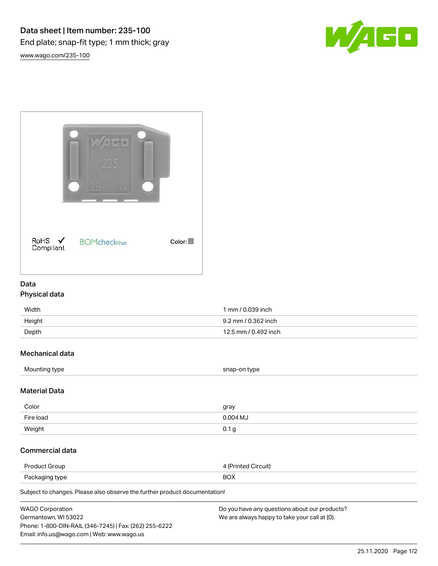



## Data

## Physical data

| Width  | 1 mm / 0.039 inch    |
|--------|----------------------|
| Height | 9.2 mm / 0.362 inch  |
| Depth  | 12.5 mm / 0.492 inch |

# Mechanical data

| Mounting type<br>snap-on type |
|-------------------------------|
|-------------------------------|

### Material Data

| Color     | gray       |
|-----------|------------|
| Fire load | $0.004$ MJ |
| Weight    | 0.1<br>۰a  |

## Commercial data

| Product<br>firoup. | Direuit)         |
|--------------------|------------------|
| Packaging<br>type  | $D\cap V$<br>∧שכ |

Subject to changes. Please also observe the further product documentation!

| <b>WAGO Corporation</b>                                | Do you have any questions about our products? |
|--------------------------------------------------------|-----------------------------------------------|
| Germantown, WI 53022                                   | We are always happy to take your call at {0}. |
| Phone: 1-800-DIN-RAIL (346-7245)   Fax: (262) 255-6222 |                                               |
| Email: info.us@wago.com   Web: www.wago.us             |                                               |